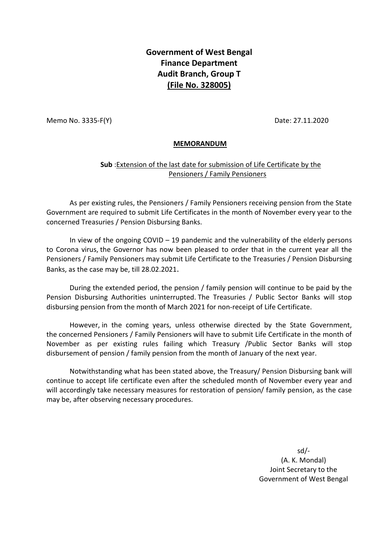## **Government of West Bengal Finance Department Audit Branch, Group T (File No. 328005)**

Memo No. 3335-F(Y) Date: 27.11.2020

## **MEMORANDUM**

## **Sub** :Extension of the last date for submission of Life Certificate by the Pensioners / Family Pensioners

As per existing rules, the Pensioners / Family Pensioners receiving pension from the State Government are required to submit Life Certificates in the month of November every year to the concerned Treasuries / Pension Disbursing Banks.

In view of the ongoing  $COVID - 19$  pandemic and the vulnerability of the elderly persons to Corona virus, the Governor has now been pleased to order that in the current year all the Pensioners / Family Pensioners may submit Life Certificate to the Treasuries / Pension Disbursing Banks, as the case may be, till 28.02.2021.

During the extended period, the pension / family pension will continue to be paid by the Pension Disbursing Authorities uninterrupted. The Treasuries / Public Sector Banks will stop disbursing pension from the month of March 2021 for non-receipt of Life Certificate.

However, in the coming years, unless otherwise directed by the State Government, the concerned Pensioners / Family Pensioners will have to submit Life Certificate in the month of November as per existing rules failing which Treasury /Public Sector Banks will stop disbursement of pension / family pension from the month of January of the next year.

Notwithstanding what has been stated above, the Treasury/ Pension Disbursing bank will continue to accept life certificate even after the scheduled month of November every year and will accordingly take necessary measures for restoration of pension/ family pension, as the case may be, after observing necessary procedures.

> sd/- (A. K. Mondal) Joint Secretary to the Government of West Bengal